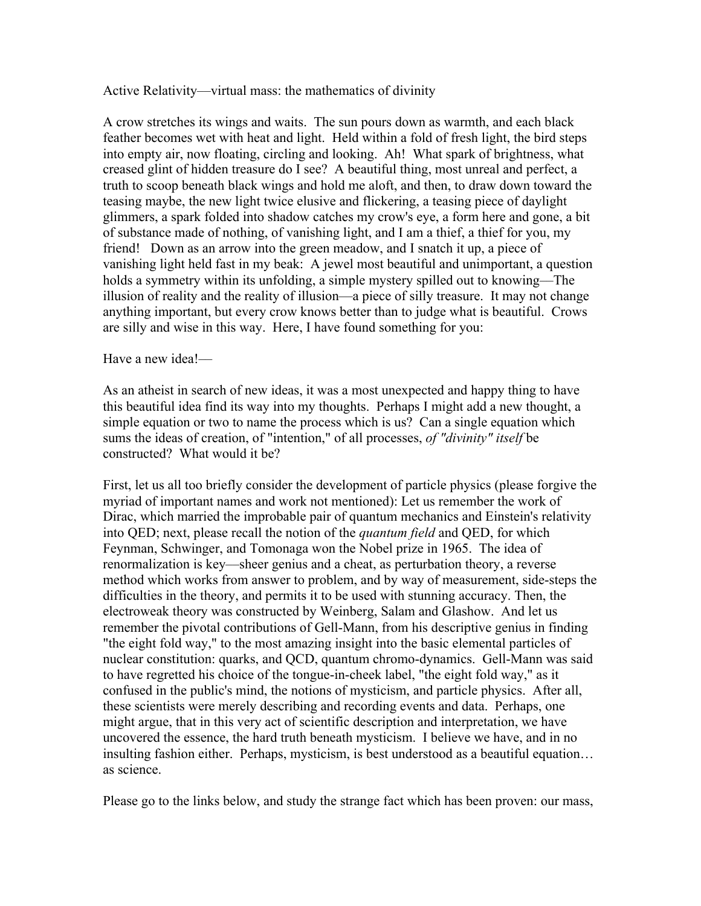Active Relativity––virtual mass: the mathematics of divinity

A crow stretches its wings and waits. The sun pours down as warmth, and each black feather becomes wet with heat and light. Held within a fold of fresh light, the bird steps into empty air, now floating, circling and looking. Ah! What spark of brightness, what creased glint of hidden treasure do I see? A beautiful thing, most unreal and perfect, a truth to scoop beneath black wings and hold me aloft, and then, to draw down toward the teasing maybe, the new light twice elusive and flickering, a teasing piece of daylight glimmers, a spark folded into shadow catches my crow's eye, a form here and gone, a bit of substance made of nothing, of vanishing light, and I am a thief, a thief for you, my friend! Down as an arrow into the green meadow, and I snatch it up, a piece of vanishing light held fast in my beak: A jewel most beautiful and unimportant, a question holds a symmetry within its unfolding, a simple mystery spilled out to knowing––The illusion of reality and the reality of illusion––a piece of silly treasure. It may not change anything important, but every crow knows better than to judge what is beautiful. Crows are silly and wise in this way. Here, I have found something for you:

## Have a new idea!—

As an atheist in search of new ideas, it was a most unexpected and happy thing to have this beautiful idea find its way into my thoughts. Perhaps I might add a new thought, a simple equation or two to name the process which is us? Can a single equation which sums the ideas of creation, of "intention," of all processes, *of "divinity" itself* be constructed? What would it be?

First, let us all too briefly consider the development of particle physics (please forgive the myriad of important names and work not mentioned): Let us remember the work of Dirac, which married the improbable pair of quantum mechanics and Einstein's relativity into QED; next, please recall the notion of the *quantum field* and QED, for which Feynman, Schwinger, and Tomonaga won the Nobel prize in 1965. The idea of renormalization is key––sheer genius and a cheat, as perturbation theory, a reverse method which works from answer to problem, and by way of measurement, side-steps the difficulties in the theory, and permits it to be used with stunning accuracy. Then, the electroweak theory was constructed by Weinberg, Salam and Glashow. And let us remember the pivotal contributions of Gell-Mann, from his descriptive genius in finding "the eight fold way," to the most amazing insight into the basic elemental particles of nuclear constitution: quarks, and QCD, quantum chromo-dynamics. Gell-Mann was said to have regretted his choice of the tongue-in-cheek label, "the eight fold way," as it confused in the public's mind, the notions of mysticism, and particle physics. After all, these scientists were merely describing and recording events and data. Perhaps, one might argue, that in this very act of scientific description and interpretation, we have uncovered the essence, the hard truth beneath mysticism. I believe we have, and in no insulting fashion either. Perhaps, mysticism, is best understood as a beautiful equation… as science.

Please go to the links below, and study the strange fact which has been proven: our mass,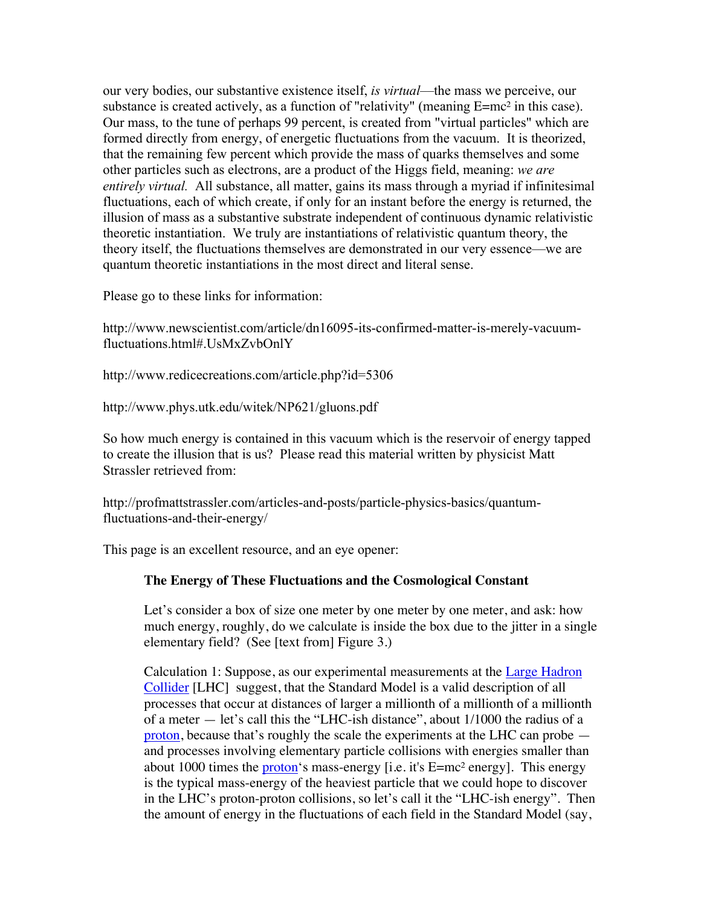our very bodies, our substantive existence itself, *is virtual*––the mass we perceive, our substance is created actively, as a function of "relativity" (meaning  $E=mc^2$  in this case). Our mass, to the tune of perhaps 99 percent, is created from "virtual particles" which are formed directly from energy, of energetic fluctuations from the vacuum. It is theorized, that the remaining few percent which provide the mass of quarks themselves and some other particles such as electrons, are a product of the Higgs field, meaning: *we are entirely virtual.* All substance, all matter, gains its mass through a myriad if infinitesimal fluctuations, each of which create, if only for an instant before the energy is returned, the illusion of mass as a substantive substrate independent of continuous dynamic relativistic theoretic instantiation. We truly are instantiations of relativistic quantum theory, the theory itself, the fluctuations themselves are demonstrated in our very essence––we are quantum theoretic instantiations in the most direct and literal sense.

Please go to these links for information:

http://www.newscientist.com/article/dn16095-its-confirmed-matter-is-merely-vacuumfluctuations.html#.UsMxZvbOnlY

http://www.redicecreations.com/article.php?id=5306

http://www.phys.utk.edu/witek/NP621/gluons.pdf

So how much energy is contained in this vacuum which is the reservoir of energy tapped to create the illusion that is us? Please read this material written by physicist Matt Strassler retrieved from:

http://profmattstrassler.com/articles-and-posts/particle-physics-basics/quantumfluctuations-and-their-energy/

This page is an excellent resource, and an eye opener:

## **The Energy of These Fluctuations and the Cosmological Constant**

Let's consider a box of size one meter by one meter by one meter, and ask: how much energy, roughly, do we calculate is inside the box due to the jitter in a single elementary field? (See [text from] Figure 3.)

Calculation 1: Suppose, as our experimental measurements at the Large Hadron Collider [LHC] suggest, that the Standard Model is a valid description of all processes that occur at distances of larger a millionth of a millionth of a millionth of a meter — let's call this the "LHC-ish distance", about 1/1000 the radius of a proton, because that's roughly the scale the experiments at the LHC can probe and processes involving elementary particle collisions with energies smaller than about 1000 times the proton's mass-energy [i.e. it's  $E=mc^2$  energy]. This energy is the typical mass-energy of the heaviest particle that we could hope to discover in the LHC's proton-proton collisions, so let's call it the "LHC-ish energy". Then the amount of energy in the fluctuations of each field in the Standard Model (say,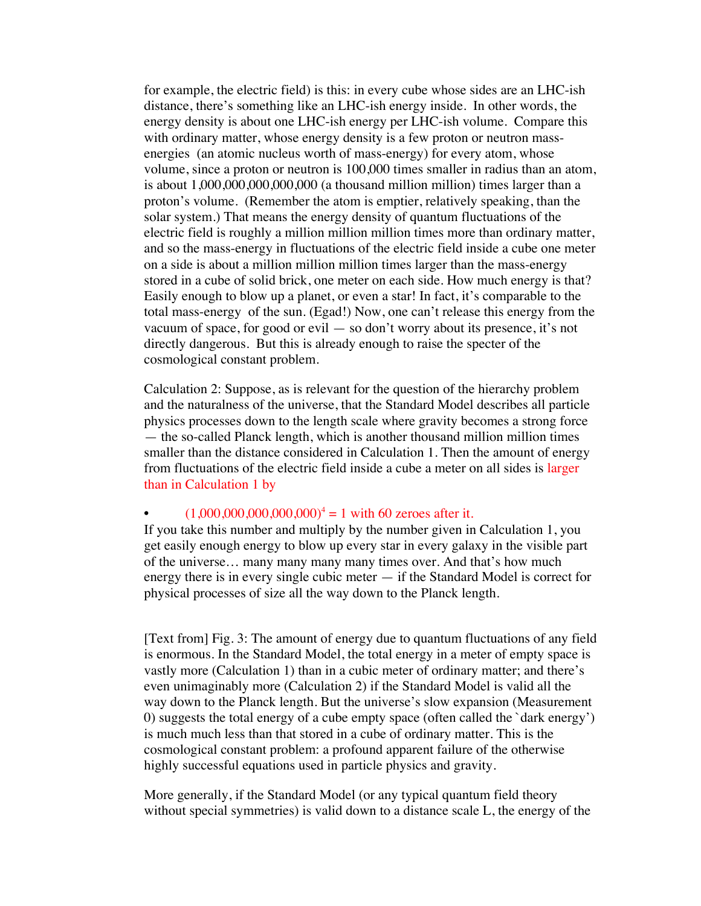for example, the electric field) is this: in every cube whose sides are an LHC-ish distance, there's something like an LHC-ish energy inside. In other words, the energy density is about one LHC-ish energy per LHC-ish volume. Compare this with ordinary matter, whose energy density is a few proton or neutron massenergies (an atomic nucleus worth of mass-energy) for every atom, whose volume, since a proton or neutron is 100,000 times smaller in radius than an atom, is about 1,000,000,000,000,000 (a thousand million million) times larger than a proton's volume. (Remember the atom is emptier, relatively speaking, than the solar system.) That means the energy density of quantum fluctuations of the electric field is roughly a million million million times more than ordinary matter, and so the mass-energy in fluctuations of the electric field inside a cube one meter on a side is about a million million million times larger than the mass-energy stored in a cube of solid brick, one meter on each side. How much energy is that? Easily enough to blow up a planet, or even a star! In fact, it's comparable to the total mass-energy of the sun. (Egad!) Now, one can't release this energy from the vacuum of space, for good or evil — so don't worry about its presence, it's not directly dangerous. But this is already enough to raise the specter of the cosmological constant problem.

Calculation 2: Suppose, as is relevant for the question of the hierarchy problem and the naturalness of the universe, that the Standard Model describes all particle physics processes down to the length scale where gravity becomes a strong force — the so-called Planck length, which is another thousand million million times smaller than the distance considered in Calculation 1. Then the amount of energy from fluctuations of the electric field inside a cube a meter on all sides is larger than in Calculation 1 by

## $(1,000,000,000,000,000)^4 = 1$  with 60 zeroes after it.

If you take this number and multiply by the number given in Calculation 1, you get easily enough energy to blow up every star in every galaxy in the visible part of the universe… many many many many times over. And that's how much energy there is in every single cubic meter — if the Standard Model is correct for physical processes of size all the way down to the Planck length.

[Text from] Fig. 3: The amount of energy due to quantum fluctuations of any field is enormous. In the Standard Model, the total energy in a meter of empty space is vastly more (Calculation 1) than in a cubic meter of ordinary matter; and there's even unimaginably more (Calculation 2) if the Standard Model is valid all the way down to the Planck length. But the universe's slow expansion (Measurement 0) suggests the total energy of a cube empty space (often called the `dark energy') is much much less than that stored in a cube of ordinary matter. This is the cosmological constant problem: a profound apparent failure of the otherwise highly successful equations used in particle physics and gravity.

More generally, if the Standard Model (or any typical quantum field theory without special symmetries) is valid down to a distance scale L, the energy of the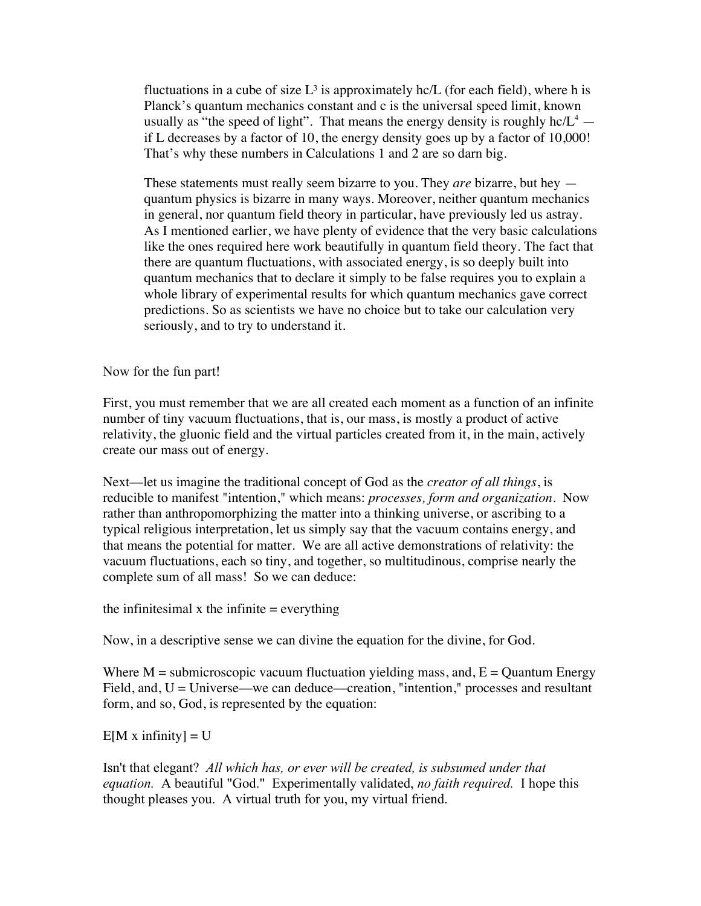fluctuations in a cube of size  $L^3$  is approximately hc/L (for each field), where h is Planck's quantum mechanics constant and c is the universal speed limit, known usually as "the speed of light". That means the energy density is roughly  $hc/L<sup>4</sup>$  if L decreases by a factor of 10, the energy density goes up by a factor of 10,000! That's why these numbers in Calculations 1 and 2 are so darn big.

These statements must really seem bizarre to you. They *are* bizarre, but hey quantum physics is bizarre in many ways. Moreover, neither quantum mechanics in general, nor quantum field theory in particular, have previously led us astray. As I mentioned earlier, we have plenty of evidence that the very basic calculations like the ones required here work beautifully in quantum field theory. The fact that there are quantum fluctuations, with associated energy, is so deeply built into quantum mechanics that to declare it simply to be false requires you to explain a whole library of experimental results for which quantum mechanics gave correct predictions. So as scientists we have no choice but to take our calculation very seriously, and to try to understand it.

Now for the fun part!

First, you must remember that we are all created each moment as a function of an infinite number of tiny vacuum fluctuations, that is, our mass, is mostly a product of active relativity, the gluonic field and the virtual particles created from it, in the main, actively create our mass out of energy.

Next––let us imagine the traditional concept of God as the *creator of all things*, is reducible to manifest "intention," which means: *processes, form and organization*. Now rather than anthropomorphizing the matter into a thinking universe, or ascribing to a typical religious interpretation, let us simply say that the vacuum contains energy, and that means the potential for matter. We are all active demonstrations of relativity: the vacuum fluctuations, each so tiny, and together, so multitudinous, comprise nearly the complete sum of all mass! So we can deduce:

the infinitesimal x the infinite  $=$  everything

Now, in a descriptive sense we can divine the equation for the divine, for God.

Where  $M =$  submicroscopic vacuum fluctuation yielding mass, and,  $E =$  Quantum Energy Field, and,  $U =$  Universe—we can deduce—creation, "intention," processes and resultant form, and so, God, is represented by the equation:

 $E[M x \text{ infinity}] = U$ 

Isn't that elegant? *All which has, or ever will be created, is subsumed under that equation.* A beautiful "God." Experimentally validated, *no faith required.* I hope this thought pleases you. A virtual truth for you, my virtual friend.